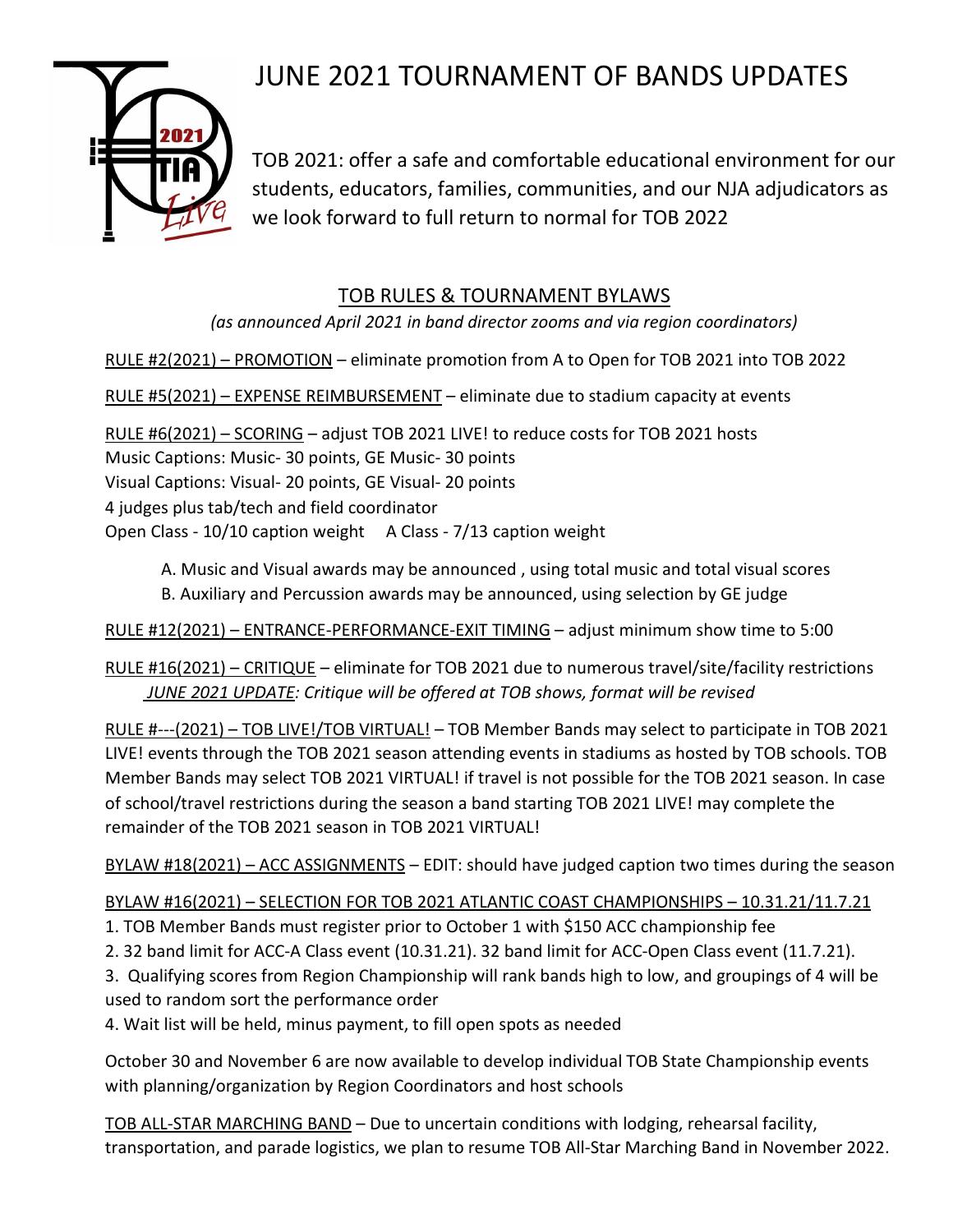# JUNE 2021 TOURNAMENT OF BANDS UPDATES



TOB 2021: offer a safe and comfortable educational environment for our students, educators, families, communities, and our NJA adjudicators as we look forward to full return to normal for TOB 2022

## TOB RULES & TOURNAMENT BYLAWS

*(as announced April 2021 in band director zooms and via region coordinators)*

RULE #2(2021) – PROMOTION – eliminate promotion from A to Open for TOB 2021 into TOB 2022

RULE #5(2021) – EXPENSE REIMBURSEMENT – eliminate due to stadium capacity at events

RULE #6(2021) – SCORING – adjust TOB 2021 LIVE! to reduce costs for TOB 2021 hosts Music Captions: Music- 30 points, GE Music- 30 points Visual Captions: Visual- 20 points, GE Visual- 20 points 4 judges plus tab/tech and field coordinator Open Class - 10/10 caption weight A Class - 7/13 caption weight

A. Music and Visual awards may be announced , using total music and total visual scores B. Auxiliary and Percussion awards may be announced, using selection by GE judge

RULE #12(2021) – ENTRANCE-PERFORMANCE-EXIT TIMING – adjust minimum show time to 5:00

RULE #16(2021) – CRITIQUE – eliminate for TOB 2021 due to numerous travel/site/facility restrictions *JUNE 2021 UPDATE: Critique will be offered at TOB shows, format will be revised*

RULE #---(2021) – TOB LIVE!/TOB VIRTUAL! – TOB Member Bands may select to participate in TOB 2021 LIVE! events through the TOB 2021 season attending events in stadiums as hosted by TOB schools. TOB Member Bands may select TOB 2021 VIRTUAL! if travel is not possible for the TOB 2021 season. In case of school/travel restrictions during the season a band starting TOB 2021 LIVE! may complete the remainder of the TOB 2021 season in TOB 2021 VIRTUAL!

BYLAW #18(2021) – ACC ASSIGNMENTS – EDIT: should have judged caption two times during the season

### BYLAW #16(2021) – SELECTION FOR TOB 2021 ATLANTIC COAST CHAMPIONSHIPS – 10.31.21/11.7.21

- 1. TOB Member Bands must register prior to October 1 with \$150 ACC championship fee
- 2. 32 band limit for ACC-A Class event (10.31.21). 32 band limit for ACC-Open Class event (11.7.21).

3. Qualifying scores from Region Championship will rank bands high to low, and groupings of 4 will be used to random sort the performance order

4. Wait list will be held, minus payment, to fill open spots as needed

October 30 and November 6 are now available to develop individual TOB State Championship events with planning/organization by Region Coordinators and host schools

TOB ALL-STAR MARCHING BAND – Due to uncertain conditions with lodging, rehearsal facility, transportation, and parade logistics, we plan to resume TOB All-Star Marching Band in November 2022.